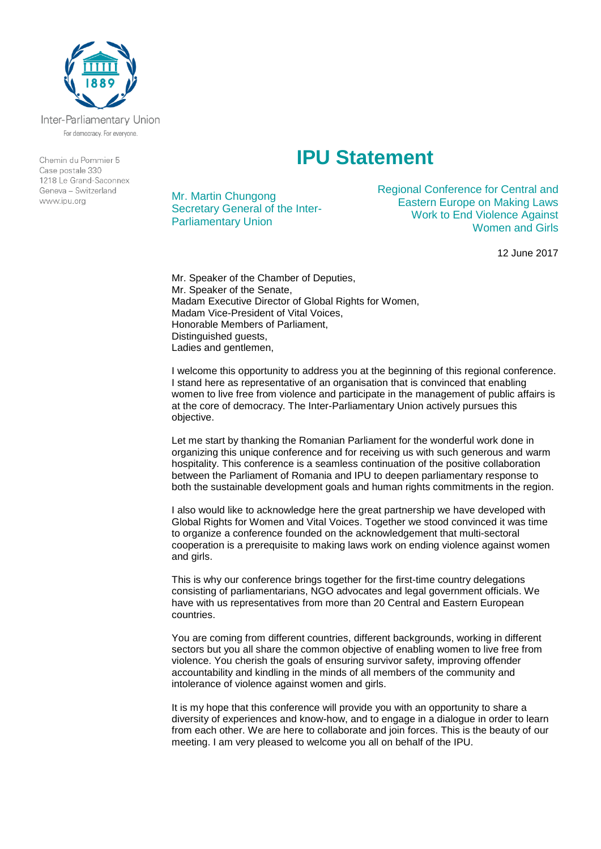

Inter-Parliamentary Union For democracy. For everyone.

Chemin du Pommier 5 Case postale 330  $1218$   $\leq$  Grand-Saconney Geneva - Switzerland www.ipu.org

## **IPU Statement**

Mr. Martin Chungong Secretary General of the Inter-Parliamentary Union

Regional Conference for Central and Eastern Europe on Making Laws Work to End Violence Against Women and Girls

12 June 2017

Mr. Speaker of the Chamber of Deputies, Mr. Speaker of the Senate, Madam Executive Director of Global Rights for Women, Madam Vice-President of Vital Voices, Honorable Members of Parliament, Distinguished guests, Ladies and gentlemen,

I welcome this opportunity to address you at the beginning of this regional conference. I stand here as representative of an organisation that is convinced that enabling women to live free from violence and participate in the management of public affairs is at the core of democracy. The Inter-Parliamentary Union actively pursues this objective.

Let me start by thanking the Romanian Parliament for the wonderful work done in organizing this unique conference and for receiving us with such generous and warm hospitality. This conference is a seamless continuation of the positive collaboration between the Parliament of Romania and IPU to deepen parliamentary response to both the sustainable development goals and human rights commitments in the region.

I also would like to acknowledge here the great partnership we have developed with Global Rights for Women and Vital Voices. Together we stood convinced it was time to organize a conference founded on the acknowledgement that multi-sectoral cooperation is a prerequisite to making laws work on ending violence against women and girls.

This is why our conference brings together for the first-time country delegations consisting of parliamentarians, NGO advocates and legal government officials. We have with us representatives from more than 20 Central and Eastern European countries.

You are coming from different countries, different backgrounds, working in different sectors but you all share the common objective of enabling women to live free from violence. You cherish the goals of ensuring survivor safety, improving offender accountability and kindling in the minds of all members of the community and intolerance of violence against women and girls.

It is my hope that this conference will provide you with an opportunity to share a diversity of experiences and know-how, and to engage in a dialogue in order to learn from each other. We are here to collaborate and join forces. This is the beauty of our meeting. I am very pleased to welcome you all on behalf of the IPU.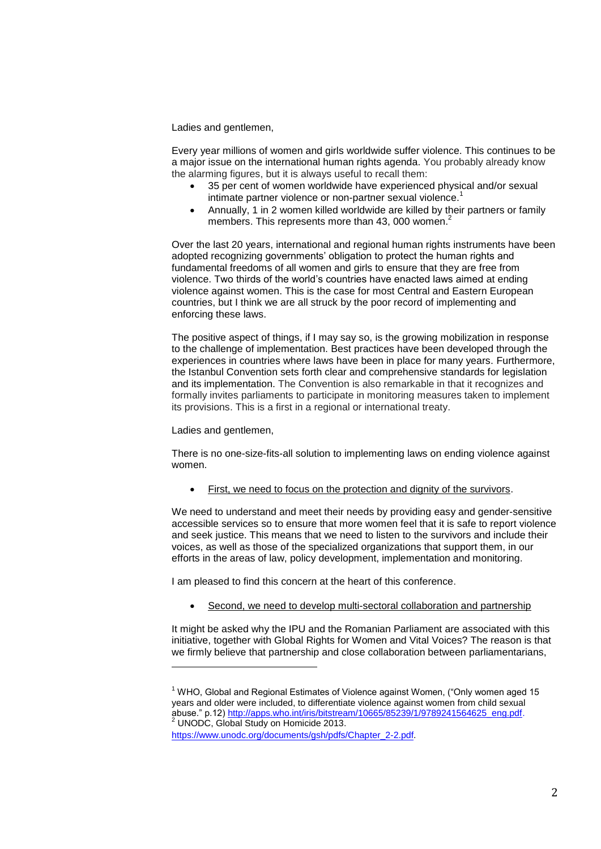Ladies and gentlemen,

Every year millions of women and girls worldwide suffer violence. This continues to be a major issue on the international human rights agenda. You probably already know the alarming figures, but it is always useful to recall them:

- 35 per cent of women worldwide have experienced physical and/or sexual intimate partner violence or non-partner sexual violence.<sup>1</sup>
- Annually, 1 in 2 women killed worldwide are killed by their partners or family members. This represents more than 43, 000 women.<sup>2</sup>

Over the last 20 years, international and regional human rights instruments have been adopted recognizing governments' obligation to protect the human rights and fundamental freedoms of all women and girls to ensure that they are free from violence. Two thirds of the world's countries have enacted laws aimed at ending violence against women. This is the case for most Central and Eastern European countries, but I think we are all struck by the poor record of implementing and enforcing these laws.

The positive aspect of things, if I may say so, is the growing mobilization in response to the challenge of implementation. Best practices have been developed through the experiences in countries where laws have been in place for many years. Furthermore, the Istanbul Convention sets forth clear and comprehensive standards for legislation and its implementation. The Convention is also remarkable in that it recognizes and formally invites parliaments to participate in monitoring measures taken to implement its provisions. This is a first in a regional or international treaty.

Ladies and gentlemen,

<u>.</u>

There is no one-size-fits-all solution to implementing laws on ending violence against women.

• First, we need to focus on the protection and dignity of the survivors.

We need to understand and meet their needs by providing easy and gender-sensitive accessible services so to ensure that more women feel that it is safe to report violence and seek justice. This means that we need to listen to the survivors and include their voices, as well as those of the specialized organizations that support them, in our efforts in the areas of law, policy development, implementation and monitoring.

I am pleased to find this concern at the heart of this conference.

Second, we need to develop multi-sectoral collaboration and partnership

It might be asked why the IPU and the Romanian Parliament are associated with this initiative, together with Global Rights for Women and Vital Voices? The reason is that we firmly believe that partnership and close collaboration between parliamentarians,

 $1$  WHO, Global and Regional Estimates of Violence against Women, ("Only women aged 15 years and older were included, to differentiate violence against women from child sexual abuse." p.12[\) http://apps.who.int/iris/bitstream/10665/85239/1/9789241564625\\_eng.pdf.](http://apps.who.int/iris/bitstream/10665/85239/1/9789241564625_eng.pdf) 2 UNODC, Global Study on Homicide 2013.

[https://www.unodc.org/documents/gsh/pdfs/Chapter\\_2-2.pdf.](https://www.unodc.org/documents/gsh/pdfs/Chapter_2-2.pdf)